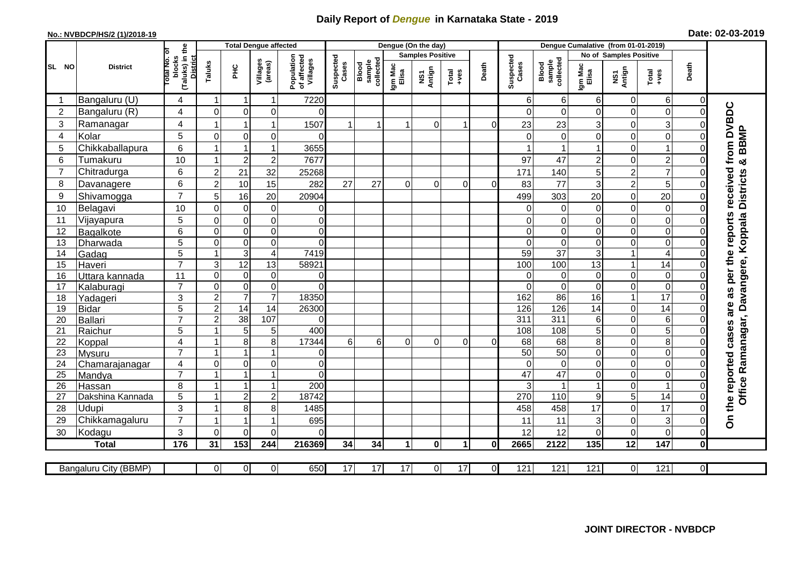## **Daily Report of** *Dengue* **in Karnataka State - 2019**

## **No.: NVBDCP/HS/2 (1)/2018-19 Date: 02-03-2019**

|                                                                |                           |                                                    |                         | <b>Total Dengue affected</b>     |                              |                                       |                      |                              |                         | Dengue (On the day)              |                |                 |                    |                              |                               |                         |                                                                      |                            |                                                                  |
|----------------------------------------------------------------|---------------------------|----------------------------------------------------|-------------------------|----------------------------------|------------------------------|---------------------------------------|----------------------|------------------------------|-------------------------|----------------------------------|----------------|-----------------|--------------------|------------------------------|-------------------------------|-------------------------|----------------------------------------------------------------------|----------------------------|------------------------------------------------------------------|
|                                                                | <b>District</b>           | ъ                                                  |                         |                                  |                              |                                       |                      |                              | <b>Samples Positive</b> |                                  |                |                 |                    |                              | <b>No of Samples Positive</b> |                         |                                                                      |                            |                                                                  |
| SL NO                                                          |                           | (Taluks) in the<br>District<br>lotal No.<br>blocks | Taluks                  | ΞÉ                               | Villages<br>(areas)          | Population<br>of affected<br>Villages | Suspected<br>Cases   | Blood<br>sample<br>collected | Igm Mac<br>Elisa        | Antign<br>$\overline{\text{MS}}$ | $Total$        | Death           | Suspected<br>Cases | Blood<br>sample<br>collected | Igm Mac<br>Elisa              | NS1<br>Antign           | $\begin{array}{c}\n\text{Total} \\ \text{1} & \text{1}\n\end{array}$ | Death                      |                                                                  |
| -1                                                             | Bangaluru (U)             | 4                                                  | $\mathbf 1$             | $\mathbf 1$                      | $\mathbf{1}$                 | 7220                                  |                      |                              |                         |                                  |                |                 | 61                 | $6 \mid$                     | 6                             | 0                       | 6                                                                    | 0                          |                                                                  |
| $\overline{2}$                                                 | Bangaluru (R)             | 4                                                  | $\Omega$                | $\mathbf 0$                      | 0                            | $\Omega$                              |                      |                              |                         |                                  |                |                 | $\Omega$           | $\Omega$                     | $\Omega$                      | 0                       | $\mathbf 0$                                                          | $\Omega$                   |                                                                  |
| 3                                                              | Ramanagar                 | 4                                                  |                         | -1                               | $\mathbf{1}$                 | 1507                                  |                      |                              |                         | $\Omega$                         | 1              | $\Omega$        | 23                 | 23                           | 3                             | 0                       | 3                                                                    | $\Omega$                   |                                                                  |
| 4                                                              | Kolar                     | 5                                                  | $\mathbf 0$             | $\mathbf 0$                      | 0                            | $\Omega$                              |                      |                              |                         |                                  |                |                 | $\Omega$           | $\Omega$                     | $\Omega$                      | 0                       | $\mathbf 0$                                                          | $\Omega$                   |                                                                  |
| 5                                                              | Chikkaballapura           | 6                                                  | $\mathbf{1}$            | $\mathbf{1}$                     | $\mathbf{1}$                 | 3655                                  |                      |                              |                         |                                  |                |                 |                    |                              |                               | 0                       | $\mathbf{1}$                                                         | $\Omega$                   | <b>BBMP</b>                                                      |
| 6                                                              | Tumakuru                  | 10                                                 | -1                      | $\overline{2}$                   | $\overline{\mathbf{c}}$      | 7677                                  |                      |                              |                         |                                  |                |                 | 97                 | 47                           | $\overline{c}$                | 0                       | $\overline{c}$                                                       | $\Omega$                   | ×                                                                |
| 7                                                              | Chitradurga               | 6                                                  | $\boldsymbol{2}$        | 21                               | 32                           | 25268                                 |                      |                              |                         |                                  |                |                 | 171                | 140                          | 5                             | $\overline{\mathbf{c}}$ | $\overline{7}$                                                       | 0                          |                                                                  |
| 8                                                              | Davanagere                | 6                                                  | $\overline{2}$          | 10                               | 15                           | 282                                   | 27                   | 27                           | $\Omega$                | $\Omega$                         | $\Omega$       | $\Omega$        | 83                 | 77                           | 3                             | $\overline{c}$          | 5                                                                    | $\Omega$                   |                                                                  |
| 9                                                              | Shivamogga                | $\overline{7}$                                     | 5                       | 16                               | 20                           | 20904                                 |                      |                              |                         |                                  |                |                 | 499                | 303                          | 20                            | 0                       | 20                                                                   | $\Omega$                   | <b>Districts</b>                                                 |
| 10                                                             | Belagavi                  | 10                                                 | $\Omega$                | $\mathbf 0$                      | $\pmb{0}$                    | 0                                     |                      |                              |                         |                                  |                |                 | 0                  | $\Omega$                     | 0                             | 0                       | 0                                                                    | $\mathcal{C}$              |                                                                  |
| 11                                                             | Vijayapura                | 5                                                  | $\Omega$                | $\mathbf 0$                      | $\mathsf 0$                  | $\overline{0}$                        |                      |                              |                         |                                  |                |                 | 0                  | $\Omega$                     | 0                             | 0                       | $\mathbf 0$                                                          | $\mathcal{C}$              | Office Ramanagar, Davangere, Koppala                             |
| 12                                                             | Bagalkote                 | 6                                                  | $\mathbf 0$             | $\mathbf 0$                      | $\overline{0}$               | $\overline{0}$                        |                      |                              |                         |                                  |                |                 | $\Omega$           | $\overline{0}$               | $\mathbf 0$                   | $\mathbf 0$             | $\overline{0}$                                                       | $\Omega$                   |                                                                  |
| 13                                                             | Dharwada                  | 5                                                  | $\mathbf 0$             | $\mathbf 0$                      | $\overline{0}$               | $\Omega$                              |                      |                              |                         |                                  |                |                 | $\Omega$           | $\mathbf 0$                  | $\mathbf 0$                   | $\boldsymbol{0}$        | $\overline{0}$                                                       | $\Omega$                   |                                                                  |
| 14                                                             | Gadag                     | $\overline{5}$                                     | $\mathbf{1}$            | $\overline{3}$                   | $\overline{\mathbf{4}}$      | 7419                                  |                      |                              |                         |                                  |                |                 | 59                 | $\overline{37}$              | 3                             | $\mathbf{1}$            | $\overline{4}$                                                       | $\mathbf 0$                |                                                                  |
| 15                                                             | Haveri                    | $\overline{7}$                                     | 3                       | $\overline{12}$                  | 13                           | 58921                                 |                      |                              |                         |                                  |                |                 | 100                | 100                          | 13                            | $\mathbf{1}$            | 14                                                                   | $\Omega$                   |                                                                  |
| 16                                                             | Uttara kannada            | 11                                                 | $\Omega$                | $\mathbf 0$                      | $\mathbf 0$                  | $\overline{0}$                        |                      |                              |                         |                                  |                |                 | $\Omega$           | $\Omega$                     | $\Omega$                      | 0                       | $\overline{0}$                                                       | $\Omega$                   |                                                                  |
| 17                                                             | Kalaburagi                | $\overline{7}$                                     | $\mathbf 0$             | $\mathbf 0$                      | $\overline{0}$               | $\overline{0}$                        |                      |                              |                         |                                  |                |                 | $\Omega$           | $\overline{0}$               | $\Omega$                      | $\mathbf 0$             | $\overline{0}$                                                       | $\mathbf 0$                |                                                                  |
| 18                                                             | Yadageri                  | 3                                                  | $\overline{c}$          | $\overline{7}$                   | $\overline{7}$               | 18350                                 |                      |                              |                         |                                  |                |                 | 162                | 86                           | 16                            | $\mathbf{1}$            | $\overline{17}$                                                      | $\Omega$                   |                                                                  |
| 19                                                             | <b>Bidar</b>              | 5                                                  | $\overline{2}$          | $\overline{14}$                  | $\overline{14}$              | 26300                                 |                      |                              |                         |                                  |                |                 | 126                | 126                          | 14                            | 0                       | $\overline{14}$                                                      | $\Omega$                   |                                                                  |
| 20                                                             | <b>Ballari</b>            | $\overline{7}$                                     | $\overline{2}$          | $\overline{38}$                  | 107                          | $\Omega$                              |                      |                              |                         |                                  |                |                 | 311                | 311                          | 6                             | 0                       | 6                                                                    | C                          |                                                                  |
| 21                                                             | Raichur                   | 5                                                  |                         | 5                                | 5                            | 400                                   |                      |                              |                         |                                  |                |                 | 108                | 108                          | 5                             | 0                       | $\overline{5}$                                                       | $\Omega$                   |                                                                  |
| 22                                                             | Koppal                    | 4                                                  |                         | 8                                | $\overline{8}$               | 17344                                 | 6 <sup>1</sup>       | 6                            | 0                       | 0                                | $\overline{0}$ | 0               | 68                 | 68                           | 8                             | $\mathbf 0$             | $\overline{8}$                                                       | $\Omega$                   |                                                                  |
| 23                                                             | Mysuru                    | $\overline{7}$                                     |                         | $\overline{1}$                   | $\overline{1}$               | $\overline{0}$                        |                      |                              |                         |                                  |                |                 | $\overline{50}$    | 50                           | 0                             | 0                       | $\overline{0}$                                                       | $\mathbf 0$                |                                                                  |
| 24                                                             | Chamarajanagar            | $\overline{4}$<br>$\overline{7}$                   | $\mathbf 0$             | $\pmb{0}$                        | $\overline{0}$               | $\overline{0}$                        |                      |                              |                         |                                  |                |                 | $\Omega$           | $\mathbf 0$                  | 0                             | 0                       | $\overline{0}$                                                       | 0                          |                                                                  |
| 25                                                             | Mandya                    |                                                    | $\overline{\mathbf{A}}$ | $\overline{1}$<br>$\overline{1}$ | $\mathbf{1}$<br>$\mathbf{1}$ | $\Omega$                              |                      |                              |                         |                                  |                |                 | 47<br>3            | $\overline{47}$              | 0                             | 0                       | $\overline{0}$<br>$\overline{1}$                                     | $\mathbf 0$                |                                                                  |
| 26                                                             | Hassan                    | 8                                                  | $\blacktriangleleft$    |                                  |                              | 200<br>18742                          |                      |                              |                         |                                  |                |                 | 270                | 110                          |                               | $\mathbf 0$<br>5        | 14                                                                   | $\mathbf 0$<br>$\mathbf 0$ |                                                                  |
| 27<br>28                                                       | Dakshina Kannada<br>Udupi | 5<br>3                                             |                         | $\overline{2}$                   | $\boldsymbol{2}$<br>8        |                                       |                      |                              |                         |                                  |                |                 |                    |                              | 9<br>17                       |                         | 17                                                                   | $\Omega$                   |                                                                  |
| 29                                                             |                           | $\overline{7}$                                     |                         | 8<br>1                           | $\overline{1}$               | 1485<br>695                           |                      |                              |                         |                                  |                |                 | 458<br>11          | 458<br>11                    |                               | 0<br>0                  | 3                                                                    | $\Omega$                   | On the reported cases are as per the reports received from DVBDC |
|                                                                | Chikkamagaluru            | 3                                                  | $\Omega$                | $\Omega$                         | 0                            | $\Omega$                              |                      |                              |                         |                                  |                |                 | 12                 | 12                           | 3<br>0                        | 0                       | $\overline{0}$                                                       | $\Omega$                   |                                                                  |
| 30<br>Kodagu<br>176<br>$\overline{153}$<br>244<br>216369<br>31 |                           |                                                    | 34                      | 34                               | $\mathbf{1}$                 | $\bf{0}$                              | $\blacktriangleleft$ | $\mathbf 0$                  | 2665                    | 2122                             | 135            | $\overline{12}$ | $\frac{1}{147}$    | $\pmb{0}$                    |                               |                         |                                                                      |                            |                                                                  |
|                                                                | <b>Total</b>              |                                                    |                         |                                  |                              |                                       |                      |                              |                         |                                  |                |                 |                    |                              |                               |                         |                                                                      |                            |                                                                  |
|                                                                | Bangaluru City (BBMP)     |                                                    | $\overline{0}$          | $\overline{0}$                   | $\overline{0}$               | 650                                   | 17                   | 17                           | 17                      | $\overline{0}$                   | 17             | $\overline{0}$  | 121                | 121                          | 121                           | $\overline{0}$          | 121                                                                  | $\overline{0}$             |                                                                  |